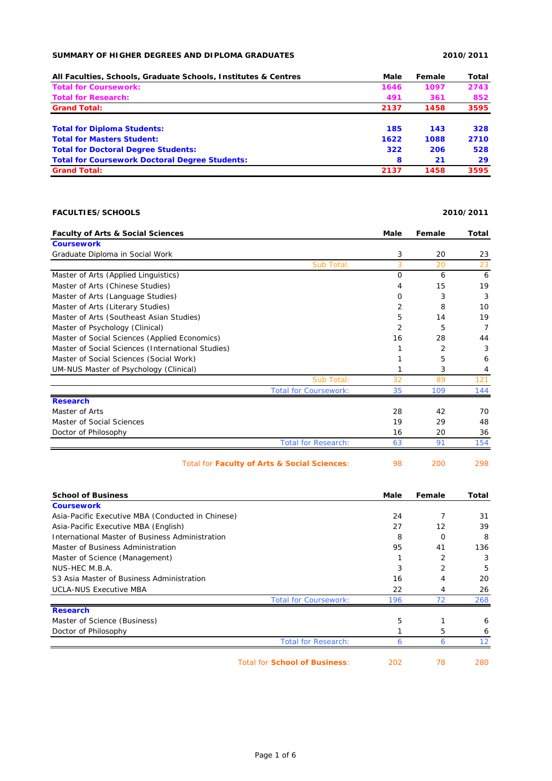## **SUMMARY OF HIGHER DEGREES AND DIPLOMA GRADUATES 2010/2011**

| All Faculties, Schools, Graduate Schools, Institutes & Centres | Male | Female | Total |
|----------------------------------------------------------------|------|--------|-------|
| <b>Total for Coursework:</b>                                   | 1646 | 1097   | 2743  |
| <b>Total for Research:</b>                                     | 491  | 361    | 852   |
| <b>Grand Total:</b>                                            | 2137 | 1458   | 3595  |
| <b>Total for Diploma Students:</b>                             | 185  | 143    | 328   |
| <b>Total for Masters Student:</b>                              | 1622 | 1088   | 2710  |
| <b>Total for Doctoral Degree Students:</b>                     | 322  | 206    | 528   |
| <b>Total for Coursework Doctoral Degree Students:</b>          | 8    | 21     | 29    |
| <b>Grand Total:</b>                                            | 2137 | 1458   | 3595  |

## **FACULTIES/SCHOOLS 2010/2011**

## **Faculty of Arts & Social Sciences Male Female Total Coursework** Graduate Diploma in Social Work 3 20 23 Sub Total: 3 20 23 Master of Arts (Applied Linguistics) 0 6 6 Master of Arts (Chinese Studies) 4 15 19 Master of Arts (Language Studies) and the control of the control of the control of the control of the control of the control of the control of the control of the control of the control of the control of the control of the Master of Arts (Literary Studies) 2 8 10 Master of Arts (Southeast Asian Studies) 5 14 19 Master of Psychology (Clinical) 2 5 7 7 Master of Social Sciences (Applied Economics) 16 28 44 Master of Social Sciences (International Studies) 1 2 3 3 Master of Social Sciences (Social Work) 1 5 6 6 UM-NUS Master of Psychology (Clinical) 1 3 4 Sub Total: 32 89 121 Total for Coursework: 35 109 144 **Research** Master of Arts 28 42 70 Master of Social Sciences 19 29 48 Doctor of Philosophy 16 20 36 Total for Research: 63 91 154

| Total for Faculty of Arts & Social Sciences: |  | 200 | 298 |
|----------------------------------------------|--|-----|-----|
|----------------------------------------------|--|-----|-----|

| <b>School of Business</b>                         | Male | Female         | Total |
|---------------------------------------------------|------|----------------|-------|
| <b>Coursework</b>                                 |      |                |       |
| Asia-Pacific Executive MBA (Conducted in Chinese) | 24   | 7              | 31    |
| Asia-Pacific Executive MBA (English)              | 27   | 12             | 39    |
| International Master of Business Administration   | 8    | $\Omega$       | 8     |
| Master of Business Administration                 | 95   | 41             | 136   |
| Master of Science (Management)                    |      | $\overline{2}$ | 3     |
| NUS-HEC M.B.A.                                    | 3    | $\overline{2}$ | 5     |
| S3 Asia Master of Business Administration         | 16   | 4              | 20    |
| <b>UCLA-NUS Executive MBA</b>                     | 22   | 4              | 26    |
| <b>Total for Coursework:</b>                      | 196  | 72             | 268   |
| <b>Research</b>                                   |      |                |       |
| Master of Science (Business)                      | 5    |                | 6     |
| Doctor of Philosophy                              |      | 5              | 6     |
| <b>Total for Research:</b>                        | 6    | 6              | 12    |
| Total for School of Business:                     | 202  | 78             | 280   |

Page 1 of 6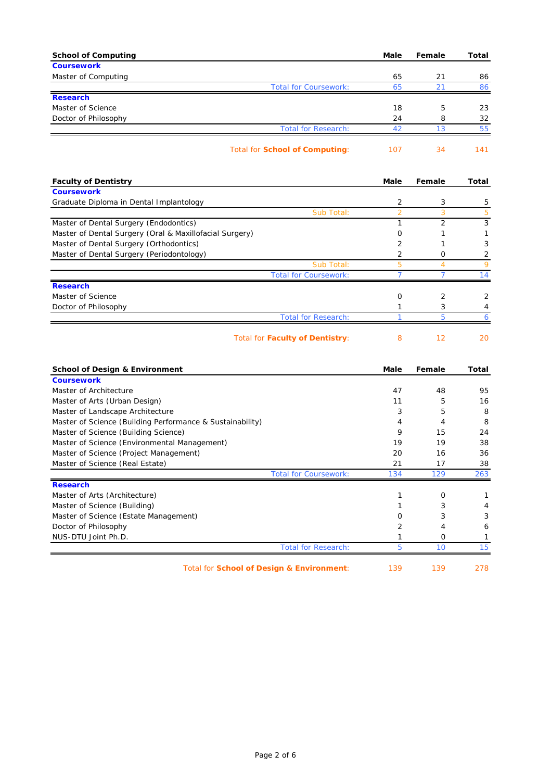| <b>School of Computing</b>                                            | Male           | Female         | Total      |
|-----------------------------------------------------------------------|----------------|----------------|------------|
| <b>Coursework</b>                                                     |                |                |            |
| Master of Computing                                                   | 65             | 21             | 86         |
| <b>Total for Coursework:</b>                                          | 65             | 21             | 86         |
| <b>Research</b><br>Master of Science                                  | 18             | 5              | 23         |
| Doctor of Philosophy                                                  | 24             | 8              | 32         |
| <b>Total for Research:</b>                                            | 42             | 13             | 55         |
|                                                                       |                |                |            |
| <b>Total for School of Computing:</b>                                 | 107            | 34             | 141        |
|                                                                       | Male           | Female         |            |
| <b>Faculty of Dentistry</b><br><b>Coursework</b>                      |                |                | Total      |
| Graduate Diploma in Dental Implantology                               | 2              | 3              | 5          |
| Sub Total:                                                            | $\overline{2}$ | 3              | 5          |
| Master of Dental Surgery (Endodontics)                                | 1              | $\overline{2}$ | $\sqrt{3}$ |
| Master of Dental Surgery (Oral & Maxillofacial Surgery)               | 0              | 1              | 1          |
| Master of Dental Surgery (Orthodontics)                               | 2              | 1              | 3          |
| Master of Dental Surgery (Periodontology)                             | $\overline{2}$ | 0              | 2          |
| Sub Total:                                                            | 5              | 4              | 9          |
| <b>Total for Coursework:</b>                                          | $\overline{7}$ | 7              | 14         |
| <b>Research</b>                                                       |                |                |            |
| Master of Science                                                     | 0              | 2              | 2          |
| Doctor of Philosophy                                                  | 1              | 3              | 4          |
| <b>Total for Research:</b>                                            | $\mathbf{1}$   | 5              | 6          |
| <b>Total for Faculty of Dentistry:</b>                                | 8              | 12             | 20         |
| <b>School of Design &amp; Environment</b>                             | Male           | Female         | Total      |
| <b>Coursework</b>                                                     |                |                |            |
| Master of Architecture                                                | 47             | 48             | 95         |
| Master of Arts (Urban Design)                                         | 11             | 5              | 16         |
| Master of Landscape Architecture                                      | 3              | 5              | 8          |
| Master of Science (Building Performance & Sustainability)             | 4              | 4              | 8          |
| Master of Science (Building Science)                                  | 9              | 15             | 24         |
| Master of Science (Environmental Management)                          | 19             | 19             | 38         |
| Master of Science (Project Management)                                | 20             | 16             | 36         |
| Master of Science (Real Estate)                                       | 21             | 17             | 38         |
| <b>Total for Coursework:</b><br><b>Research</b>                       | 134            | 129            | 263        |
| Master of Arts (Architecture)                                         | 1              | 0              | 1          |
|                                                                       | 1              | 3              |            |
| Master of Science (Building)<br>Master of Science (Estate Management) | 0              | 3              | 4<br>3     |
| Doctor of Philosophy                                                  | 2              | 4              | 6          |
| NUS-DTU Joint Ph.D.                                                   | 1              | O              | 1          |
| <b>Total for Research:</b>                                            | 5              | 10             | 15         |
|                                                                       |                |                |            |

Total for **School of Design & Environment**: 139 139 278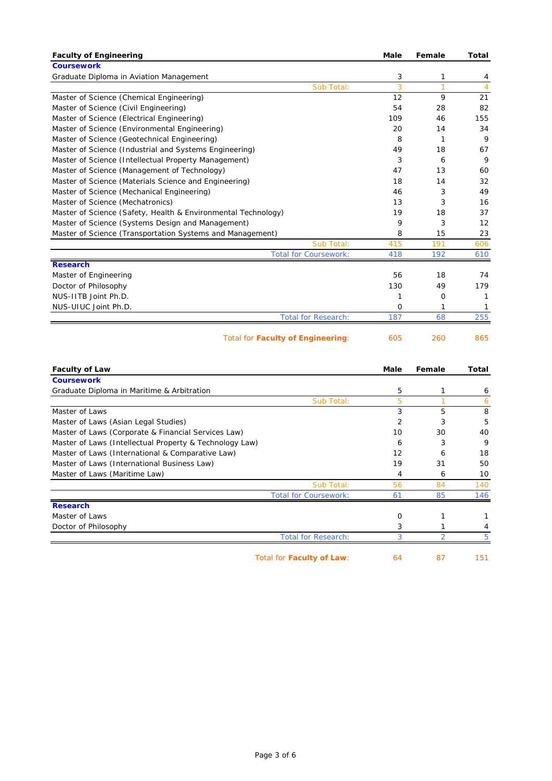| <b>Faculty of Engineering</b>                                 | Male           | Female         | <b>Total</b>   |
|---------------------------------------------------------------|----------------|----------------|----------------|
| <b>Coursework</b>                                             |                |                |                |
| Graduate Diploma in Aviation Management                       | 3              | 1              | 4              |
| Sub Total:                                                    | 3              | $\overline{1}$ | $\overline{4}$ |
| Master of Science (Chemical Engineering)                      | 12             | 9              | 21             |
| Master of Science (Civil Engineering)                         | 54             | 28             | 82             |
| Master of Science (Electrical Engineering)                    | 109            | 46             | 155            |
| Master of Science (Environmental Engineering)                 | 20             | 14             | 34             |
| Master of Science (Geotechnical Engineering)                  | 8              | 1              | 9              |
| Master of Science (Industrial and Systems Engineering)        | 49             | 18             | 67             |
| Master of Science (Intellectual Property Management)          | 3              | 6              | 9              |
| Master of Science (Management of Technology)                  | 47             | 13             | 60             |
| Master of Science (Materials Science and Engineering)         | 18             | 14             | 32             |
| Master of Science (Mechanical Engineering)                    | 46             | 3              | 49             |
| Master of Science (Mechatronics)                              | 13             | 3              | 16             |
| Master of Science (Safety, Health & Environmental Technology) | 19             | 18             | 37             |
| Master of Science (Systems Design and Management)             | 9              | 3              | 12             |
| Master of Science (Transportation Systems and Management)     | 8              | 15             | 23             |
| Sub Total:                                                    | 415            | 191            | 606            |
| <b>Total for Coursework:</b>                                  | 418            | 192            | 610            |
| <b>Research</b>                                               |                |                |                |
| Master of Engineering                                         | 56             | 18             | 74             |
| Doctor of Philosophy                                          | 130            | 49             | 179            |
| NUS-IITB Joint Ph.D.                                          | 1              | 0              | 1              |
| NUS-UIUC Joint Ph.D.                                          | 0              | 1              | 1              |
| <b>Total for Research:</b>                                    | 187            | 68             | 255            |
|                                                               |                |                |                |
| Total for <b>Faculty of Engineering</b> :                     | 605            | 260            | 865            |
|                                                               |                |                |                |
| <b>Faculty of Law</b>                                         | Male           | Female         | Total          |
| <b>Coursework</b>                                             |                |                |                |
| Graduate Diploma in Maritime & Arbitration                    | 5              | 1              | 6              |
| Sub Total:                                                    | 5              | $\mathbf{1}$   | 6              |
| Master of Laws                                                | 3              | 5              | 8              |
| Master of Laws (Asian Legal Studies)                          | $\overline{2}$ | 3              | 5              |
| Master of Laws (Corporate & Financial Services Law)           | 10             | 30             | 40             |
| Master of Laws (Intellectual Property & Technology Law)       | 6              | 3              | 9              |
| Master of Laws (International & Comparative Law)              | 12             | 6              | 18             |
| Master of Laws (International Business Law)                   | 19             | 31             | 50             |
| Master of Laws (Maritime Law)                                 | 4              | 6              | 10             |
| Sub Total:                                                    | 56             | 84             | 140            |
| <b>Total for Coursework:</b>                                  | 61             | 85             | 146            |
| <b>Research</b>                                               |                |                |                |
| Master of Laws                                                | 0              | 1              | 1              |
| Doctor of Philosophy                                          | 3              | 1              | 4              |
| <b>Total for Research:</b>                                    | 3              | $\overline{2}$ | 5              |
|                                                               |                |                |                |
| Total for Faculty of Law:                                     | 64             | 87             | 151            |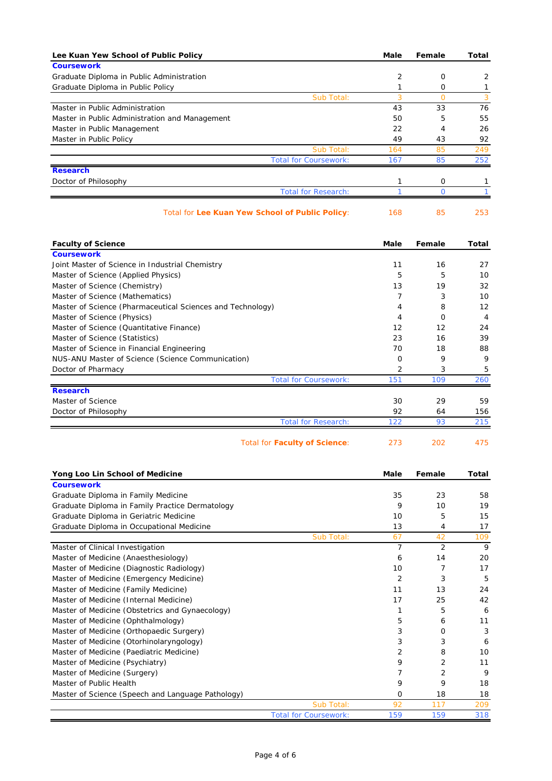| Lee Kuan Yew School of Public Policy                                                | Male           | Female         | Total          |
|-------------------------------------------------------------------------------------|----------------|----------------|----------------|
| <b>Coursework</b>                                                                   |                |                |                |
| Graduate Diploma in Public Administration                                           | 2              | 0              | 2              |
| Graduate Diploma in Public Policy                                                   | 1              | 0              | 1              |
| Sub Total:                                                                          | 3              | $\overline{O}$ | 3              |
| Master in Public Administration                                                     | 43             | 33             | 76             |
| Master in Public Administration and Management                                      | 50             | 5              | 55             |
| Master in Public Management                                                         | 22             | 4              | 26             |
| Master in Public Policy                                                             | 49             | 43             | 92             |
| Sub Total:                                                                          | 164            | 85             | 249            |
| <b>Total for Coursework:</b><br><b>Research</b>                                     | 167            | 85             | 252            |
| Doctor of Philosophy                                                                | 1              | 0              | 1              |
| <b>Total for Research:</b>                                                          | $\mathbf{1}$   | $\mathbf 0$    | $\mathbf{1}$   |
| Total for Lee Kuan Yew School of Public Policy:                                     | 168            | 85             | 253            |
| <b>Faculty of Science</b>                                                           | Male           | Female         | Total          |
| <b>Coursework</b>                                                                   |                |                |                |
| Joint Master of Science in Industrial Chemistry                                     | 11             | 16             | 27             |
| Master of Science (Applied Physics)                                                 | 5<br>13        | 5<br>19        | 10<br>32       |
| Master of Science (Chemistry)<br>Master of Science (Mathematics)                    | 7              | 3              | 10             |
| Master of Science (Pharmaceutical Sciences and Technology)                          | 4              | 8              | 12             |
| Master of Science (Physics)                                                         | 4              | 0              | $\overline{4}$ |
| Master of Science (Quantitative Finance)                                            | 12             | 12             | 24             |
| Master of Science (Statistics)                                                      | 23             | 16             | 39             |
| Master of Science in Financial Engineering                                          | 70             | 18             | 88             |
| NUS-ANU Master of Science (Science Communication)                                   | 0              | 9              | 9              |
| Doctor of Pharmacy                                                                  | 2              | 3              | 5              |
| <b>Total for Coursework:</b>                                                        | 151            | 109            | 260            |
| <b>Research</b>                                                                     |                |                |                |
| Master of Science                                                                   | 30             | 29             | 59             |
| Doctor of Philosophy<br><b>Total for Research:</b>                                  | 92<br>122      | 64<br>93       | 156<br>215     |
|                                                                                     |                |                |                |
| <b>Total for Faculty of Science:</b>                                                | 273            | 202            | 475            |
| Yong Loo Lin School of Medicine                                                     | Male           | Female         | Total          |
| <b>Coursework</b>                                                                   |                |                |                |
| Graduate Diploma in Family Medicine                                                 | 35             | 23             | 58             |
| Graduate Diploma in Family Practice Dermatology                                     | 9              | 10             | 19             |
| Graduate Diploma in Geriatric Medicine<br>Graduate Diploma in Occupational Medicine | 10<br>13       | 5<br>4         | 15<br>17       |
| Sub Total:                                                                          | 67             | 42             | 109            |
| Master of Clinical Investigation                                                    | $\overline{7}$ | 2              | 9              |
| Master of Medicine (Anaesthesiology)                                                | 6              | 14             | 20             |
| Master of Medicine (Diagnostic Radiology)                                           | 10             | 7              | 17             |
| Master of Medicine (Emergency Medicine)                                             | $\overline{2}$ | 3              | 5              |
| Master of Medicine (Family Medicine)                                                | 11             | 13             | 24             |
| Master of Medicine (Internal Medicine)                                              | 17             | 25             | 42             |
| Master of Medicine (Obstetrics and Gynaecology)                                     | 1              | 5              | 6              |
| Master of Medicine (Ophthalmology)                                                  | 5              | 6              | 11             |
| Master of Medicine (Orthopaedic Surgery)                                            | 3              | 0              | 3              |
| Master of Medicine (Otorhinolaryngology)                                            | 3              | 3              | 6              |
| Master of Medicine (Paediatric Medicine)                                            | 2              | 8              | 10             |
| Master of Medicine (Psychiatry)                                                     | 9              | 2              | 11             |
| Master of Medicine (Surgery)                                                        | 7              | 2              | 9              |
| Master of Public Health                                                             | 9              | 9              | 18             |
| Master of Science (Speech and Language Pathology)                                   | 0              | 18             | 18             |
| Sub Total:                                                                          | 92             | 117            | 209            |
| <b>Total for Coursework:</b>                                                        | 159            | 159            | 318            |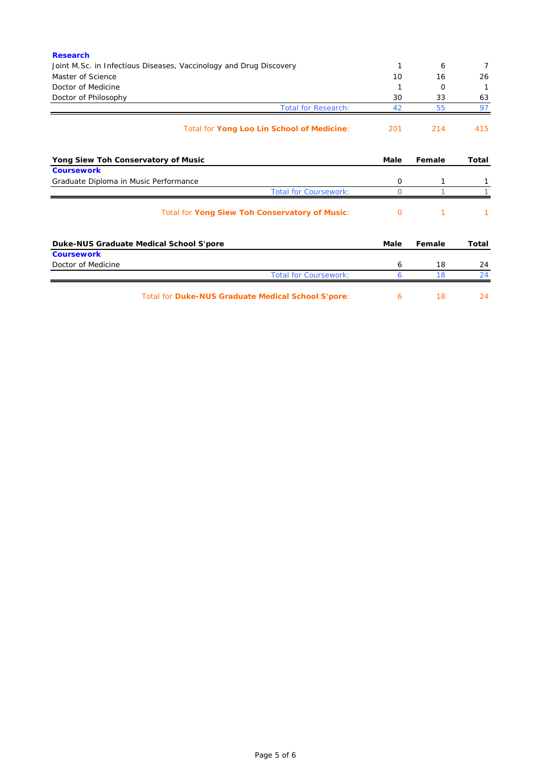| <b>Research</b>                                                    |          |        |                |
|--------------------------------------------------------------------|----------|--------|----------------|
| Joint M.Sc. in Infectious Diseases, Vaccinology and Drug Discovery | 1        | 6      | $\overline{7}$ |
| Master of Science                                                  | 10       | 16     | 26             |
| Doctor of Medicine                                                 |          | O      |                |
| Doctor of Philosophy                                               | 30       | 33     | 63             |
| <b>Total for Research:</b>                                         | 42       | 55     | 97             |
| Total for Yong Loo Lin School of Medicine:                         | 201      | 214    | 415            |
| Yong Siew Toh Conservatory of Music                                | Male     | Female | <b>Total</b>   |
| <b>Coursework</b>                                                  |          |        |                |
| Graduate Diploma in Music Performance                              | 0        | 1      |                |
| <b>Total for Coursework:</b>                                       | $\Omega$ |        |                |
| Total for Yong Siew Toh Conservatory of Music:                     | O        | 1      |                |
| Duke-NUS Graduate Medical School S'pore                            | Male     | Female | Total          |
| <b>Coursework</b>                                                  |          |        |                |
| Doctor of Medicine                                                 | 6        | 18     | 24             |
| <b>Total for Coursework:</b>                                       | 6        | 18     | 24             |
| Total for Duke-NUS Graduate Medical School S'pore:                 | 6        | 18     | 24             |